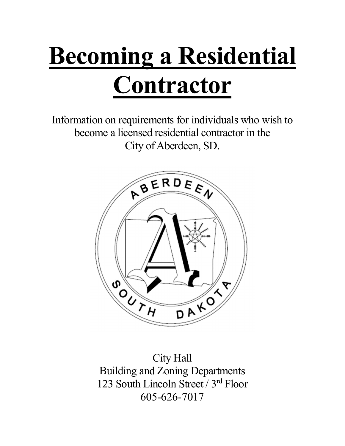## Becoming a Residential **Contractor**

Information on requirements for individuals who wish to become a licensed residential contractor in the City of Aberdeen, SD.



City Hall Building and Zoning Departments 123 South Lincoln Street / 3rd Floor 605-626-7017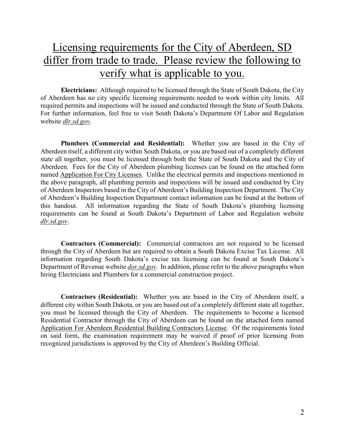## Licensing requirements for the City of Aberdeen, SD differ from trade to trade. Please review the following to verify what is applicable to you.

Electricians: Although required to be licensed through the State of South Dakota, the City of Aberdeen has no city specific licensing requirements needed to work within city limits. All required permits and inspections will be issued and conducted through the State of South Dakota. For further information, feel free to visit South Dakota's Department Of Labor and Regulation website dlr.sd.gov.

Plumbers (Commercial and Residential): Whether you are based in the City of Aberdeen itself, a different city within South Dakota, or you are based out of a completely different state all together, you must be licensed through both the State of South Dakota and the City of Aberdeen. Fees for the City of Aberdeen plumbing licenses can be found on the attached form named Application For City Licenses. Unlike the electrical permits and inspections mentioned in the above paragraph, all plumbing permits and inspections will be issued and conducted by City of Aberdeen Inspectors based in the City of Aberdeen's Building Inspection Department. The City of Aberdeen's Building Inspection Department contact information can be found at the bottom of this handout. All information regarding the State of South Dakota's plumbing licensing requirements can be found at South Dakota's Department of Labor and Regulation website dlr.sd.gov.

Contractors (Commercial): Commercial contractors are not required to be licensed through the City of Aberdeen but are required to obtain a South Dakota Excise Tax License. All information regarding South Dakota's excise tax licensing can be found at South Dakota's Department of Revenue website *dor.sd.gov.* In addition, please refer to the above paragraphs when hiring Electricians and Plumbers for a commercial construction project.

Contractors (Residential): Whether you are based in the City of Aberdeen itself, a different city within South Dakota, or you are based out of a completely different state all together, you must be licensed through the City of Aberdeen. The requirements to become a licensed Residential Contractor through the City of Aberdeen can be found on the attached form named Application For Aberdeen Residential Building Contractors License. Of the requirements listed on said form, the examination requirement may be waived if proof of prior licensing from recognized jurisdictions is approved by the City of Aberdeen's Building Official.